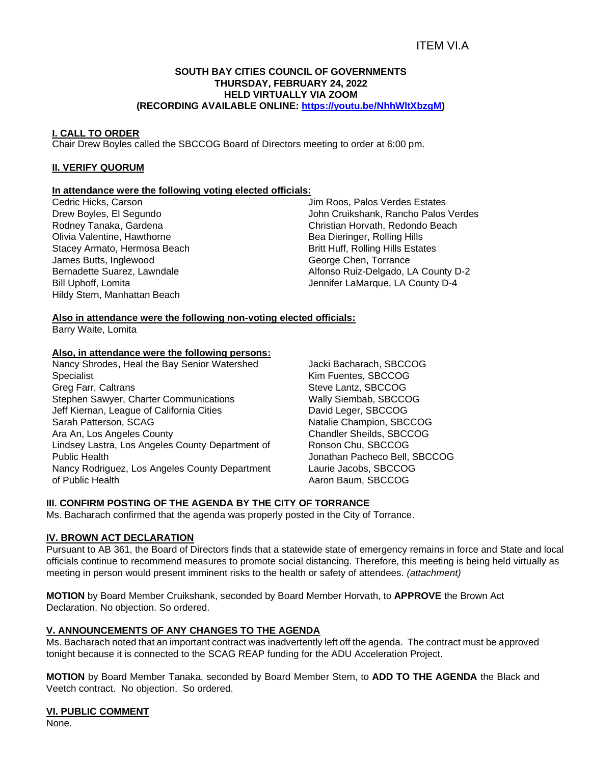# ITEM VI.A

#### **SOUTH BAY CITIES COUNCIL OF GOVERNMENTS THURSDAY, FEBRUARY 24, 2022 HELD VIRTUALLY VIA ZOOM (RECORDING AVAILABLE ONLINE: [https://youtu.be/NhhWltXbzgM\)](https://youtu.be/NhhWltXbzgM)**

#### **I. CALL TO ORDER**

Chair Drew Boyles called the SBCCOG Board of Directors meeting to order at 6:00 pm.

#### **II. VERIFY QUORUM**

# **In attendance were the following voting elected officials:**

Cedric Hicks, Carson Drew Boyles, El Segundo Rodney Tanaka, Gardena Olivia Valentine, Hawthorne Stacey Armato, Hermosa Beach James Butts, Inglewood Bernadette Suarez, Lawndale Bill Uphoff, Lomita Hildy Stern, Manhattan Beach

Jim Roos, Palos Verdes Estates John Cruikshank, Rancho Palos Verdes Christian Horvath, Redondo Beach Bea Dieringer, Rolling Hills Britt Huff, Rolling Hills Estates George Chen, Torrance Alfonso Ruiz-Delgado, LA County D-2 Jennifer LaMarque, LA County D-4

# **Also in attendance were the following non-voting elected officials:**

Barry Waite, Lomita

#### **Also, in attendance were the following persons:**

Nancy Shrodes, Heal the Bay Senior Watershed Specialist Greg Farr, Caltrans Stephen Sawyer, Charter Communications Jeff Kiernan, League of California Cities Sarah Patterson, SCAG Ara An, Los Angeles County Lindsey Lastra, Los Angeles County Department of Public Health Nancy Rodriguez, Los Angeles County Department of Public Health

Jacki Bacharach, SBCCOG Kim Fuentes, SBCCOG Steve Lantz, SBCCOG Wally Siembab, SBCCOG David Leger, SBCCOG Natalie Champion, SBCCOG Chandler Sheilds, SBCCOG Ronson Chu, SBCCOG Jonathan Pacheco Bell, SBCCOG Laurie Jacobs, SBCCOG Aaron Baum, SBCCOG

# **III. CONFIRM POSTING OF THE AGENDA BY THE CITY OF TORRANCE**

Ms. Bacharach confirmed that the agenda was properly posted in the City of Torrance.

### **IV. BROWN ACT DECLARATION**

Pursuant to AB 361, the Board of Directors finds that a statewide state of emergency remains in force and State and local officials continue to recommend measures to promote social distancing. Therefore, this meeting is being held virtually as meeting in person would present imminent risks to the health or safety of attendees. *(attachment)*

**MOTION** by Board Member Cruikshank, seconded by Board Member Horvath, to **APPROVE** the Brown Act Declaration. No objection. So ordered.

### **V. ANNOUNCEMENTS OF ANY CHANGES TO THE AGENDA**

Ms. Bacharach noted that an important contract was inadvertently left off the agenda. The contract must be approved tonight because it is connected to the SCAG REAP funding for the ADU Acceleration Project.

**MOTION** by Board Member Tanaka, seconded by Board Member Stern, to **ADD TO THE AGENDA** the Black and Veetch contract. No objection. So ordered.

#### **VI. PUBLIC COMMENT**

None.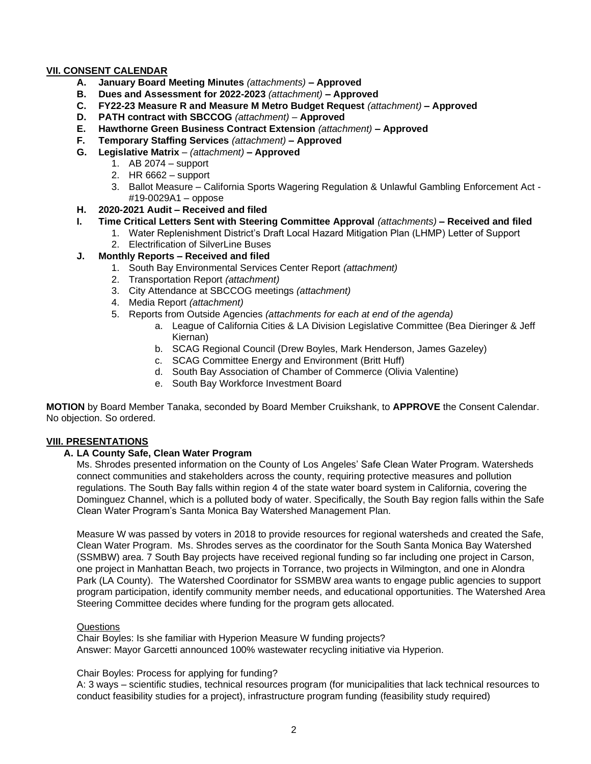# **VII. CONSENT CALENDAR**

- **A. January Board Meeting Minutes** *(attachments) –* **Approved**
- **B. Dues and Assessment for 2022-2023** *(attachment)* **– Approved**
- **C. FY22-23 Measure R and Measure M Metro Budget Request** *(attachment)* **– Approved**
- **D. PATH contract with SBCCOG** *(attachment)* **Approved**
- **E. Hawthorne Green Business Contract Extension** *(attachment)* **– Approved**
- **F. Temporary Staffing Services** *(attachment)* **– Approved**
- **G. Legislative Matrix** *– (attachment)* **– Approved**
	- 1. AB 2074 support
	- 2. HR 6662 support
	- 3. Ballot Measure California Sports Wagering Regulation & Unlawful Gambling Enforcement Act #19-0029A1 – oppose
- **H. 2020-2021 Audit** *–* **Received and filed**
- **I. Time Critical Letters Sent with Steering Committee Approval** *(attachments)* **– Received and filed**
	- 1. Water Replenishment District's Draft Local Hazard Mitigation Plan (LHMP) Letter of Support
	- 2. Electrification of SilverLine Buses
- **J. Monthly Reports – Received and filed**
	- 1. South Bay Environmental Services Center Report *(attachment)*
	- 2. Transportation Report *(attachment)*
	- 3. City Attendance at SBCCOG meetings *(attachment)*
	- 4. Media Report *(attachment)*
	- 5. Reports from Outside Agencies *(attachments for each at end of the agenda)*
		- a. League of California Cities & LA Division Legislative Committee (Bea Dieringer & Jeff Kiernan)
		- b. SCAG Regional Council (Drew Boyles, Mark Henderson, James Gazeley)
		- c. SCAG Committee Energy and Environment (Britt Huff)
		- d. South Bay Association of Chamber of Commerce (Olivia Valentine)
		- e. South Bay Workforce Investment Board

**MOTION** by Board Member Tanaka, seconded by Board Member Cruikshank, to **APPROVE** the Consent Calendar. No objection. So ordered.

# **VIII. PRESENTATIONS**

# **A. LA County Safe, Clean Water Program**

Ms. Shrodes presented information on the County of Los Angeles' Safe Clean Water Program. Watersheds connect communities and stakeholders across the county, requiring protective measures and pollution regulations. The South Bay falls within region 4 of the state water board system in California, covering the Dominguez Channel, which is a polluted body of water. Specifically, the South Bay region falls within the Safe Clean Water Program's Santa Monica Bay Watershed Management Plan.

Measure W was passed by voters in 2018 to provide resources for regional watersheds and created the Safe, Clean Water Program. Ms. Shrodes serves as the coordinator for the South Santa Monica Bay Watershed (SSMBW) area. 7 South Bay projects have received regional funding so far including one project in Carson, one project in Manhattan Beach, two projects in Torrance, two projects in Wilmington, and one in Alondra Park (LA County). The Watershed Coordinator for SSMBW area wants to engage public agencies to support program participation, identify community member needs, and educational opportunities. The Watershed Area Steering Committee decides where funding for the program gets allocated.

# Questions

Chair Boyles: Is she familiar with Hyperion Measure W funding projects? Answer: Mayor Garcetti announced 100% wastewater recycling initiative via Hyperion.

# Chair Boyles: Process for applying for funding?

A: 3 ways – scientific studies, technical resources program (for municipalities that lack technical resources to conduct feasibility studies for a project), infrastructure program funding (feasibility study required)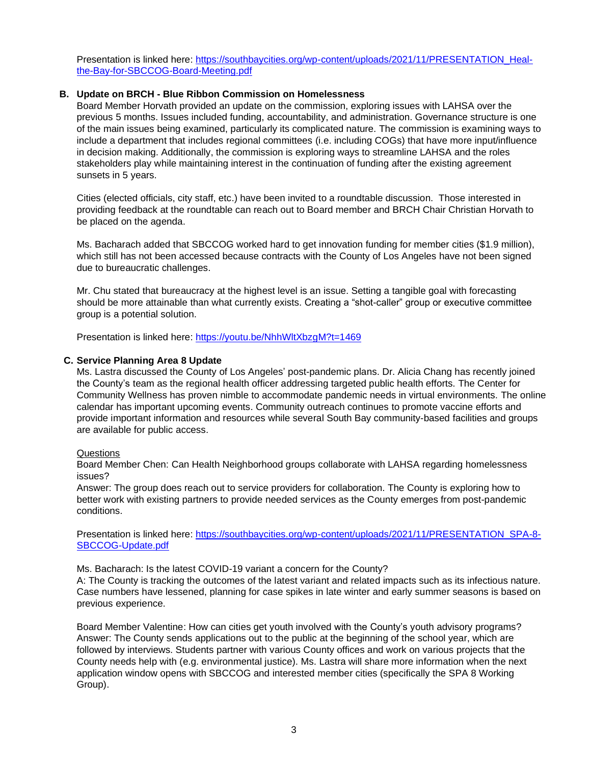Presentation is linked here: [https://southbaycities.org/wp-content/uploads/2021/11/PRESENTATION\\_Heal](https://southbaycities.org/wp-content/uploads/2021/11/PRESENTATION_Heal-the-Bay-for-SBCCOG-Board-Meeting.pdf)[the-Bay-for-SBCCOG-Board-Meeting.pdf](https://southbaycities.org/wp-content/uploads/2021/11/PRESENTATION_Heal-the-Bay-for-SBCCOG-Board-Meeting.pdf)

# **B. Update on BRCH - Blue Ribbon Commission on Homelessness**

Board Member Horvath provided an update on the commission, exploring issues with LAHSA over the previous 5 months. Issues included funding, accountability, and administration. Governance structure is one of the main issues being examined, particularly its complicated nature. The commission is examining ways to include a department that includes regional committees (i.e. including COGs) that have more input/influence in decision making. Additionally, the commission is exploring ways to streamline LAHSA and the roles stakeholders play while maintaining interest in the continuation of funding after the existing agreement sunsets in 5 years.

Cities (elected officials, city staff, etc.) have been invited to a roundtable discussion. Those interested in providing feedback at the roundtable can reach out to Board member and BRCH Chair Christian Horvath to be placed on the agenda.

Ms. Bacharach added that SBCCOG worked hard to get innovation funding for member cities (\$1.9 million), which still has not been accessed because contracts with the County of Los Angeles have not been signed due to bureaucratic challenges.

Mr. Chu stated that bureaucracy at the highest level is an issue. Setting a tangible goal with forecasting should be more attainable than what currently exists. Creating a "shot-caller" group or executive committee group is a potential solution.

Presentation is linked here: <https://youtu.be/NhhWltXbzgM?t=1469>

# **C. Service Planning Area 8 Update**

Ms. Lastra discussed the County of Los Angeles' post-pandemic plans. Dr. Alicia Chang has recently joined the County's team as the regional health officer addressing targeted public health efforts. The Center for Community Wellness has proven nimble to accommodate pandemic needs in virtual environments. The online calendar has important upcoming events. Community outreach continues to promote vaccine efforts and provide important information and resources while several South Bay community-based facilities and groups are available for public access.

#### Questions

Board Member Chen: Can Health Neighborhood groups collaborate with LAHSA regarding homelessness issues?

Answer: The group does reach out to service providers for collaboration. The County is exploring how to better work with existing partners to provide needed services as the County emerges from post-pandemic conditions.

Presentation is linked here: [https://southbaycities.org/wp-content/uploads/2021/11/PRESENTATION\\_SPA-8-](https://southbaycities.org/wp-content/uploads/2021/11/PRESENTATION_SPA-8-SBCCOG-Update.pdf) [SBCCOG-Update.pdf](https://southbaycities.org/wp-content/uploads/2021/11/PRESENTATION_SPA-8-SBCCOG-Update.pdf)

Ms. Bacharach: Is the latest COVID-19 variant a concern for the County?

A: The County is tracking the outcomes of the latest variant and related impacts such as its infectious nature. Case numbers have lessened, planning for case spikes in late winter and early summer seasons is based on previous experience.

Board Member Valentine: How can cities get youth involved with the County's youth advisory programs? Answer: The County sends applications out to the public at the beginning of the school year, which are followed by interviews. Students partner with various County offices and work on various projects that the County needs help with (e.g. environmental justice). Ms. Lastra will share more information when the next application window opens with SBCCOG and interested member cities (specifically the SPA 8 Working Group).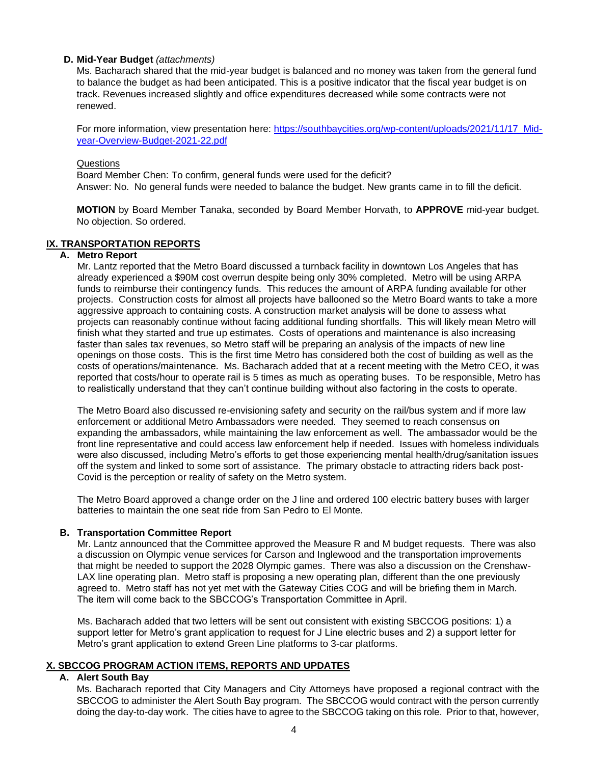# **D. Mid-Year Budget** *(attachments)*

Ms. Bacharach shared that the mid-year budget is balanced and no money was taken from the general fund to balance the budget as had been anticipated. This is a positive indicator that the fiscal year budget is on track. Revenues increased slightly and office expenditures decreased while some contracts were not renewed.

For more information, view presentation here: [https://southbaycities.org/wp-content/uploads/2021/11/17\\_Mid](https://southbaycities.org/wp-content/uploads/2021/11/17_Mid-year-Overview-Budget-2021-22.pdf)[year-Overview-Budget-2021-22.pdf](https://southbaycities.org/wp-content/uploads/2021/11/17_Mid-year-Overview-Budget-2021-22.pdf)

#### Questions

Board Member Chen: To confirm, general funds were used for the deficit? Answer: No. No general funds were needed to balance the budget. New grants came in to fill the deficit.

**MOTION** by Board Member Tanaka, seconded by Board Member Horvath, to **APPROVE** mid-year budget. No objection. So ordered.

# **IX. TRANSPORTATION REPORTS**

#### **A. Metro Report**

Mr. Lantz reported that the Metro Board discussed a turnback facility in downtown Los Angeles that has already experienced a \$90M cost overrun despite being only 30% completed. Metro will be using ARPA funds to reimburse their contingency funds. This reduces the amount of ARPA funding available for other projects. Construction costs for almost all projects have ballooned so the Metro Board wants to take a more aggressive approach to containing costs. A construction market analysis will be done to assess what projects can reasonably continue without facing additional funding shortfalls. This will likely mean Metro will finish what they started and true up estimates. Costs of operations and maintenance is also increasing faster than sales tax revenues, so Metro staff will be preparing an analysis of the impacts of new line openings on those costs. This is the first time Metro has considered both the cost of building as well as the costs of operations/maintenance. Ms. Bacharach added that at a recent meeting with the Metro CEO, it was reported that costs/hour to operate rail is 5 times as much as operating buses. To be responsible, Metro has to realistically understand that they can't continue building without also factoring in the costs to operate.

The Metro Board also discussed re-envisioning safety and security on the rail/bus system and if more law enforcement or additional Metro Ambassadors were needed. They seemed to reach consensus on expanding the ambassadors, while maintaining the law enforcement as well. The ambassador would be the front line representative and could access law enforcement help if needed. Issues with homeless individuals were also discussed, including Metro's efforts to get those experiencing mental health/drug/sanitation issues off the system and linked to some sort of assistance. The primary obstacle to attracting riders back post-Covid is the perception or reality of safety on the Metro system.

The Metro Board approved a change order on the J line and ordered 100 electric battery buses with larger batteries to maintain the one seat ride from San Pedro to El Monte.

#### **B. Transportation Committee Report**

Mr. Lantz announced that the Committee approved the Measure R and M budget requests. There was also a discussion on Olympic venue services for Carson and Inglewood and the transportation improvements that might be needed to support the 2028 Olympic games. There was also a discussion on the Crenshaw-LAX line operating plan. Metro staff is proposing a new operating plan, different than the one previously agreed to. Metro staff has not yet met with the Gateway Cities COG and will be briefing them in March. The item will come back to the SBCCOG's Transportation Committee in April.

Ms. Bacharach added that two letters will be sent out consistent with existing SBCCOG positions: 1) a support letter for Metro's grant application to request for J Line electric buses and 2) a support letter for Metro's grant application to extend Green Line platforms to 3-car platforms.

### **X. SBCCOG PROGRAM ACTION ITEMS, REPORTS AND UPDATES**

#### **A. Alert South Bay**

Ms. Bacharach reported that City Managers and City Attorneys have proposed a regional contract with the SBCCOG to administer the Alert South Bay program. The SBCCOG would contract with the person currently doing the day-to-day work. The cities have to agree to the SBCCOG taking on this role. Prior to that, however,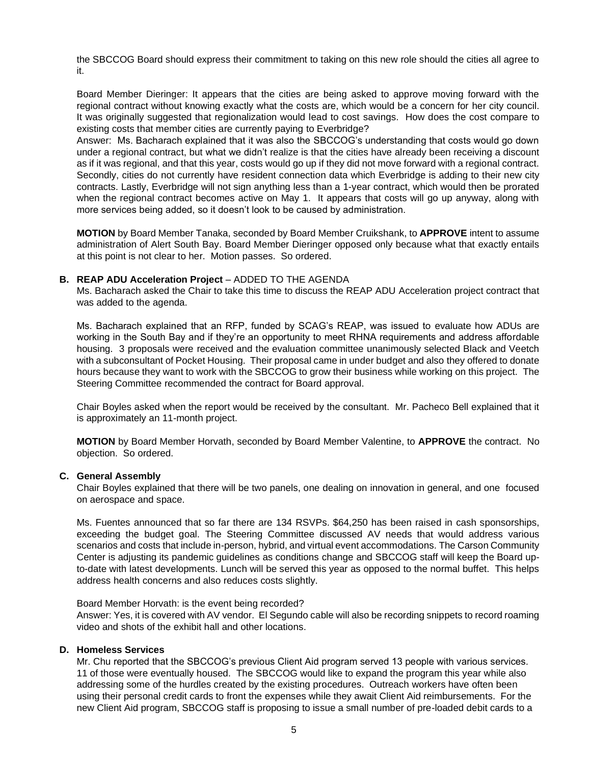the SBCCOG Board should express their commitment to taking on this new role should the cities all agree to it.

Board Member Dieringer: It appears that the cities are being asked to approve moving forward with the regional contract without knowing exactly what the costs are, which would be a concern for her city council. It was originally suggested that regionalization would lead to cost savings. How does the cost compare to existing costs that member cities are currently paying to Everbridge?

Answer: Ms. Bacharach explained that it was also the SBCCOG's understanding that costs would go down under a regional contract, but what we didn't realize is that the cities have already been receiving a discount as if it was regional, and that this year, costs would go up if they did not move forward with a regional contract. Secondly, cities do not currently have resident connection data which Everbridge is adding to their new city contracts. Lastly, Everbridge will not sign anything less than a 1-year contract, which would then be prorated when the regional contract becomes active on May 1. It appears that costs will go up anyway, along with more services being added, so it doesn't look to be caused by administration.

**MOTION** by Board Member Tanaka, seconded by Board Member Cruikshank, to **APPROVE** intent to assume administration of Alert South Bay. Board Member Dieringer opposed only because what that exactly entails at this point is not clear to her. Motion passes. So ordered.

#### **B. REAP ADU Acceleration Project** – ADDED TO THE AGENDA

Ms. Bacharach asked the Chair to take this time to discuss the REAP ADU Acceleration project contract that was added to the agenda.

Ms. Bacharach explained that an RFP, funded by SCAG's REAP, was issued to evaluate how ADUs are working in the South Bay and if they're an opportunity to meet RHNA requirements and address affordable housing. 3 proposals were received and the evaluation committee unanimously selected Black and Veetch with a subconsultant of Pocket Housing. Their proposal came in under budget and also they offered to donate hours because they want to work with the SBCCOG to grow their business while working on this project. The Steering Committee recommended the contract for Board approval.

Chair Boyles asked when the report would be received by the consultant. Mr. Pacheco Bell explained that it is approximately an 11-month project.

**MOTION** by Board Member Horvath, seconded by Board Member Valentine, to **APPROVE** the contract. No objection. So ordered.

#### **C. General Assembly**

Chair Boyles explained that there will be two panels, one dealing on innovation in general, and one focused on aerospace and space.

Ms. Fuentes announced that so far there are 134 RSVPs. \$64,250 has been raised in cash sponsorships, exceeding the budget goal. The Steering Committee discussed AV needs that would address various scenarios and costs that include in-person, hybrid, and virtual event accommodations. The Carson Community Center is adjusting its pandemic guidelines as conditions change and SBCCOG staff will keep the Board upto-date with latest developments. Lunch will be served this year as opposed to the normal buffet. This helps address health concerns and also reduces costs slightly.

#### Board Member Horvath: is the event being recorded?

Answer: Yes, it is covered with AV vendor. El Segundo cable will also be recording snippets to record roaming video and shots of the exhibit hall and other locations.

#### **D. Homeless Services**

Mr. Chu reported that the SBCCOG's previous Client Aid program served 13 people with various services. 11 of those were eventually housed. The SBCCOG would like to expand the program this year while also addressing some of the hurdles created by the existing procedures. Outreach workers have often been using their personal credit cards to front the expenses while they await Client Aid reimbursements. For the new Client Aid program, SBCCOG staff is proposing to issue a small number of pre-loaded debit cards to a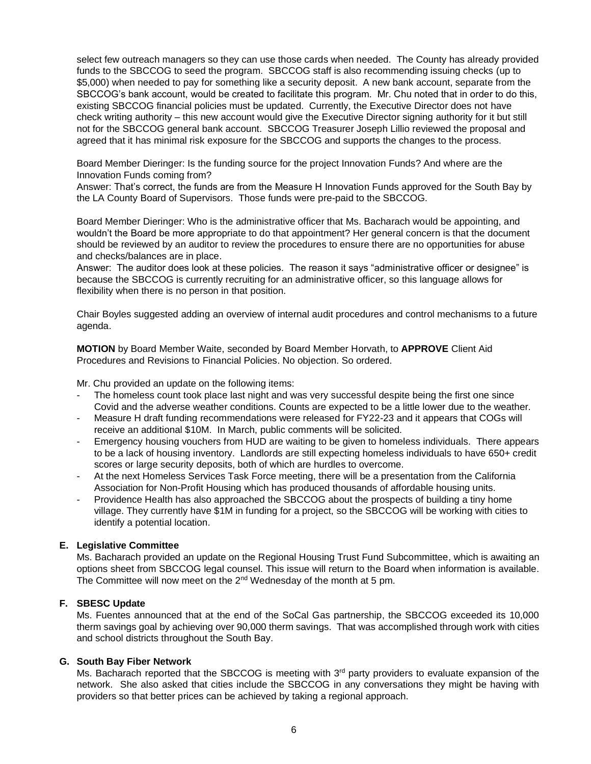select few outreach managers so they can use those cards when needed. The County has already provided funds to the SBCCOG to seed the program. SBCCOG staff is also recommending issuing checks (up to \$5,000) when needed to pay for something like a security deposit. A new bank account, separate from the SBCCOG's bank account, would be created to facilitate this program. Mr. Chu noted that in order to do this, existing SBCCOG financial policies must be updated. Currently, the Executive Director does not have check writing authority – this new account would give the Executive Director signing authority for it but still not for the SBCCOG general bank account. SBCCOG Treasurer Joseph Lillio reviewed the proposal and agreed that it has minimal risk exposure for the SBCCOG and supports the changes to the process.

Board Member Dieringer: Is the funding source for the project Innovation Funds? And where are the Innovation Funds coming from?

Answer: That's correct, the funds are from the Measure H Innovation Funds approved for the South Bay by the LA County Board of Supervisors. Those funds were pre-paid to the SBCCOG.

Board Member Dieringer: Who is the administrative officer that Ms. Bacharach would be appointing, and wouldn't the Board be more appropriate to do that appointment? Her general concern is that the document should be reviewed by an auditor to review the procedures to ensure there are no opportunities for abuse and checks/balances are in place.

Answer: The auditor does look at these policies. The reason it says "administrative officer or designee" is because the SBCCOG is currently recruiting for an administrative officer, so this language allows for flexibility when there is no person in that position.

Chair Boyles suggested adding an overview of internal audit procedures and control mechanisms to a future agenda.

**MOTION** by Board Member Waite, seconded by Board Member Horvath, to **APPROVE** Client Aid Procedures and Revisions to Financial Policies. No objection. So ordered.

Mr. Chu provided an update on the following items:

- The homeless count took place last night and was very successful despite being the first one since Covid and the adverse weather conditions. Counts are expected to be a little lower due to the weather.
- Measure H draft funding recommendations were released for FY22-23 and it appears that COGs will receive an additional \$10M. In March, public comments will be solicited.
- Emergency housing vouchers from HUD are waiting to be given to homeless individuals. There appears to be a lack of housing inventory. Landlords are still expecting homeless individuals to have 650+ credit scores or large security deposits, both of which are hurdles to overcome.
- At the next Homeless Services Task Force meeting, there will be a presentation from the California Association for Non-Profit Housing which has produced thousands of affordable housing units.
- Providence Health has also approached the SBCCOG about the prospects of building a tiny home village. They currently have \$1M in funding for a project, so the SBCCOG will be working with cities to identify a potential location.

#### **E. Legislative Committee**

Ms. Bacharach provided an update on the Regional Housing Trust Fund Subcommittee, which is awaiting an options sheet from SBCCOG legal counsel. This issue will return to the Board when information is available. The Committee will now meet on the 2<sup>nd</sup> Wednesday of the month at 5 pm.

#### **F. SBESC Update**

Ms. Fuentes announced that at the end of the SoCal Gas partnership, the SBCCOG exceeded its 10,000 therm savings goal by achieving over 90,000 therm savings. That was accomplished through work with cities and school districts throughout the South Bay.

#### **G. South Bay Fiber Network**

Ms. Bacharach reported that the SBCCOG is meeting with 3<sup>rd</sup> party providers to evaluate expansion of the network. She also asked that cities include the SBCCOG in any conversations they might be having with providers so that better prices can be achieved by taking a regional approach.